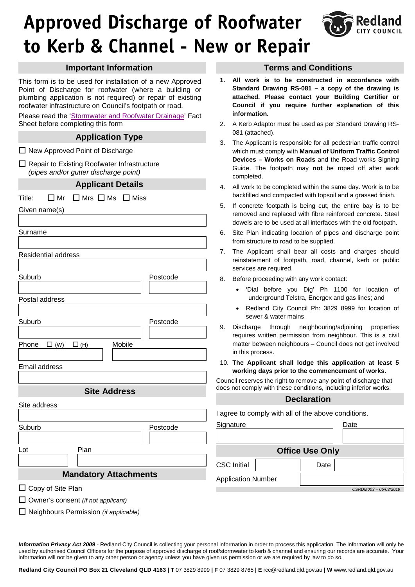# **Approved Discharge of Roofwater to Kerb & Channel - New or Repair**



#### **Important Information**

This form is to be used for installation of a new Approved Point of Discharge for roofwater (where a building or plumbing application is not required) or repair of existing roofwater infrastructure on Council's footpath or road.

Please read the ['Stormwater and Roofwater Drainage'](https://www.redland.qld.gov.au/download/downloads/id/2878/stormwater_and_roofwater_drainage_fact_sheet.pdf) Fact Sheet before completing this form

## **Application Type**

 $\Box$  New Approved Point of Discharge

 $\Box$  Repair to Existing Roofwater Infrastructure *(pipes and/or gutter discharge point)*

#### **Applicant Details**

| Title:                                       |                             | $\Box$ Mr $\Box$ Mrs $\Box$ Ms $\Box$ Miss |  |          |  |
|----------------------------------------------|-----------------------------|--------------------------------------------|--|----------|--|
| Given name(s)                                |                             |                                            |  |          |  |
|                                              |                             |                                            |  |          |  |
| Surname                                      |                             |                                            |  |          |  |
|                                              |                             |                                            |  |          |  |
|                                              | <b>Residential address</b>  |                                            |  |          |  |
|                                              |                             |                                            |  |          |  |
| Suburb                                       |                             |                                            |  | Postcode |  |
|                                              |                             |                                            |  |          |  |
| Postal address                               |                             |                                            |  |          |  |
| Suburb                                       |                             |                                            |  | Postcode |  |
|                                              |                             |                                            |  |          |  |
|                                              | Phone $\Box$ (W) $\Box$ (H) | Mobile                                     |  |          |  |
|                                              |                             |                                            |  |          |  |
| Email address                                |                             |                                            |  |          |  |
|                                              |                             |                                            |  |          |  |
| <b>Site Address</b>                          |                             |                                            |  |          |  |
| Site address                                 |                             |                                            |  |          |  |
|                                              |                             |                                            |  |          |  |
| Suburb                                       |                             |                                            |  | Postcode |  |
|                                              |                             |                                            |  |          |  |
| Lot                                          |                             | Plan                                       |  |          |  |
|                                              |                             |                                            |  |          |  |
| <b>Mandatory Attachments</b>                 |                             |                                            |  |          |  |
| $\Box$ Copy of Site Plan                     |                             |                                            |  |          |  |
| $\Box$ Owner's consent (if not applicant)    |                             |                                            |  |          |  |
| $\Box$ Neighbours Permission (if applicable) |                             |                                            |  |          |  |

### **Terms and Conditions**

- **1. All work is to be constructed in accordance with Standard Drawing RS-081 – a copy of the drawing is attached. Please contact your Building Certifier or Council if you require further explanation of this information.**
- 2. A Kerb Adaptor must be used as per Standard Drawing RS-081 (attached).
- 3. The Applicant is responsible for all pedestrian traffic control which must comply with **Manual of Uniform Traffic Control Devices – Works on Roads** and the Road works Signing Guide. The footpath may **not** be roped off after work completed.
- 4. All work to be completed within the same day. Work is to be backfilled and compacted with topsoil and a grassed finish.
- 5. If concrete footpath is being cut, the entire bay is to be removed and replaced with fibre reinforced concrete. Steel dowels are to be used at all interfaces with the old footpath.
- 6. Site Plan indicating location of pipes and discharge point from structure to road to be supplied.
- 7. The Applicant shall bear all costs and charges should reinstatement of footpath, road, channel, kerb or public services are required.
- 8. Before proceeding with any work contact:
	- 'Dial before you Dig' Ph 1100 for location of underground Telstra, Energex and gas lines; and
	- Redland City Council Ph: 3829 8999 for location of sewer & water mains
- 9. Discharge through neighbouring/adjoining properties requires written permission from neighbour. This is a civil matter between neighbours – Council does not get involved in this process.
- 10. **The Applicant shall lodge this application at least 5 working days prior to the commencement of works.**

Council reserves the right to remove any point of discharge that does not comply with these conditions, including inferior works.

#### **Declaration**

I agree to comply with all of the above conditions.

| Signature                 |      | Date                |  |  |  |  |
|---------------------------|------|---------------------|--|--|--|--|
|                           |      |                     |  |  |  |  |
| <b>Office Use Only</b>    |      |                     |  |  |  |  |
| <b>CSC</b> Initial        | Date |                     |  |  |  |  |
| <b>Application Number</b> |      |                     |  |  |  |  |
|                           |      | CSRDM003-05/03/2019 |  |  |  |  |

*Information Privacy Act 2009 -* Redland City Council is collecting your personal information in order to process this application. The information will only be used by authorised Council Officers for the purpose of approved discharge of roof/stormwater to kerb & channel and ensuring our records are accurate. Your information will not be given to any other person or agency unless you have given us permission or we are required by law to do so.

**Redland City Council PO Box 21 Cleveland QLD 4163 | T** 07 3829 8999 **| F** 07 3829 8765 **| E** rcc@redland.qld.gov.au **| W** www.redland.qld.gov.au